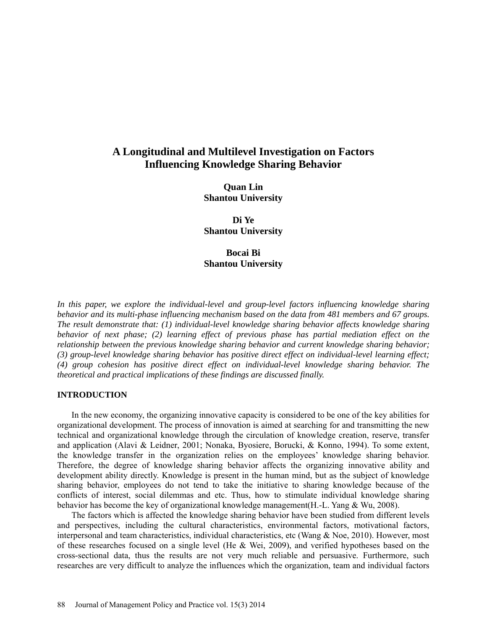# **A Longitudinal and Multilevel Investigation on Factors Influencing Knowledge Sharing Behavior**

**Quan Lin Shantou University** 

**Di Ye Shantou University**

# **Bocai Bi Shantou University**

In this paper, we explore the individual-level and group-level factors influencing knowledge sharing *behavior and its multi-phase influencing mechanism based on the data from 481 members and 67 groups. The result demonstrate that: (1) individual-level knowledge sharing behavior affects knowledge sharing behavior of next phase; (2) learning effect of previous phase has partial mediation effect on the relationship between the previous knowledge sharing behavior and current knowledge sharing behavior; (3) group-level knowledge sharing behavior has positive direct effect on individual-level learning effect; (4) group cohesion has positive direct effect on individual-level knowledge sharing behavior. The theoretical and practical implications of these findings are discussed finally.* 

#### **INTRODUCTION**

In the new economy, the organizing innovative capacity is considered to be one of the key abilities for organizational development. The process of innovation is aimed at searching for and transmitting the new technical and organizational knowledge through the circulation of knowledge creation, reserve, transfer and application [\(Alavi & Leidner, 2001;](#page-11-0) [Nonaka, Byosiere, Borucki, & Konno, 1994\)](#page-13-0). To some extent, the knowledge transfer in the organization relies on the employees' knowledge sharing behavior. Therefore, the degree of knowledge sharing behavior affects the organizing innovative ability and development ability directly. Knowledge is present in the human mind, but as the subject of knowledge sharing behavior, employees do not tend to take the initiative to sharing knowledge because of the conflicts of interest, social dilemmas and etc. Thus, how to stimulate individual knowledge sharing behavior has become the key of organizational knowledge management[\(H.-L. Yang & Wu, 2008\)](#page-13-1).

The factors which is affected the knowledge sharing behavior have been studied from different levels and perspectives, including the cultural characteristics, environmental factors, motivational factors, interpersonal and team characteristics, individual characteristics, etc [\(Wang & Noe, 2010\)](#page-13-2). However, most of these researches focused on a single level [\(He & Wei, 2009\)](#page-12-0), and verified hypotheses based on the cross-sectional data, thus the results are not very much reliable and persuasive. Furthermore, such researches are very difficult to analyze the influences which the organization, team and individual factors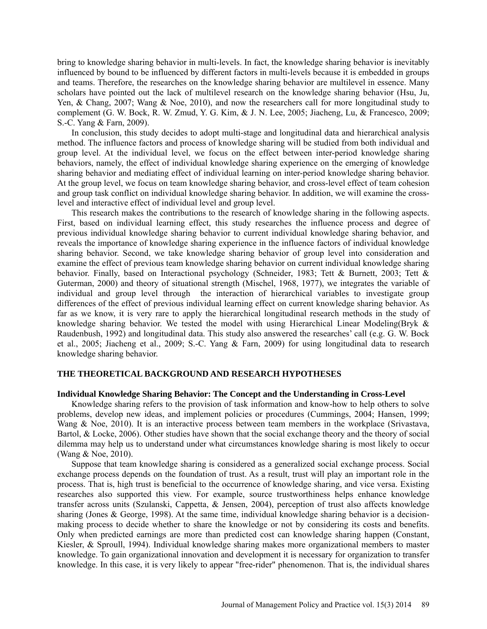bring to knowledge sharing behavior in multi-levels. In fact, the knowledge sharing behavior is inevitably influenced by bound to be influenced by different factors in multi-levels because it is embedded in groups and teams. Therefore, the researches on the knowledge sharing behavior are multilevel in essence. Many scholars have pointed out the lack of multilevel research on the knowledge sharing behavior [\(Hsu, Ju,](#page-12-1)  [Yen, & Chang, 2007;](#page-12-1) [Wang & Noe, 2010\)](#page-13-2), and now the researchers call for more longitudinal study to complement [\(G. W. Bock, R. W. Zmud, Y. G. Kim, & J. N. Lee, 2005;](#page-12-2) [Jiacheng, Lu, & Francesco, 2009;](#page-12-3) [S.-C. Yang & Farn, 2009\)](#page-13-3).

In conclusion, this study decides to adopt multi-stage and longitudinal data and hierarchical analysis method. The influence factors and process of knowledge sharing will be studied from both individual and group level. At the individual level, we focus on the effect between inter-period knowledge sharing behaviors, namely, the effect of individual knowledge sharing experience on the emerging of knowledge sharing behavior and mediating effect of individual learning on inter-period knowledge sharing behavior. At the group level, we focus on team knowledge sharing behavior, and cross-level effect of team cohesion and group task conflict on individual knowledge sharing behavior. In addition, we will examine the crosslevel and interactive effect of individual level and group level.

This research makes the contributions to the research of knowledge sharing in the following aspects. First, based on individual learning effect, this study researches the influence process and degree of previous individual knowledge sharing behavior to current individual knowledge sharing behavior, and reveals the importance of knowledge sharing experience in the influence factors of individual knowledge sharing behavior. Second, we take knowledge sharing behavior of group level into consideration and examine the effect of previous team knowledge sharing behavior on current individual knowledge sharing behavior. Finally, based on Interactional psychology [\(Schneider, 1983;](#page-13-4) [Tett & Burnett, 2003;](#page-13-5) [Tett &](#page-13-6)  [Guterman, 2000\)](#page-13-6) and theory of situational strength [\(Mischel, 1968,](#page-12-4) [1977\)](#page-13-7), we integrates the variable of individual and group level through the interaction of hierarchical variables to investigate group differences of the effect of previous individual learning effect on current knowledge sharing behavior. As far as we know, it is very rare to apply the hierarchical longitudinal research methods in the study of knowledge sharing behavior. We tested the model with using Hierarchical Linear Modeling[\(Bryk &](#page-12-5)  [Raudenbush, 1992\)](#page-12-5) and longitudinal data. This study also answered the researches' call (e.g. [G. W. Bock](#page-12-2)  [et al., 2005;](#page-12-2) [Jiacheng et al., 2009;](#page-12-3) [S.-C. Yang & Farn, 2009\)](#page-13-3) for using longitudinal data to research knowledge sharing behavior.

### **THE THEORETICAL BACKGROUND AND RESEARCH HYPOTHESES**

#### **Individual Knowledge Sharing Behavior: The Concept and the Understanding in Cross-Level**

Knowledge sharing refers to the provision of task information and know-how to help others to solve problems, develop new ideas, and implement policies or procedures [\(Cummings, 2004;](#page-12-6) [Hansen, 1999;](#page-12-7) [Wang & Noe, 2010\)](#page-13-2). It is an interactive process between team members in the workplace (Srivastava, [Bartol, & Locke, 2006\)](#page-13-8). Other studies have shown that the social exchange theory and the theory of social dilemma may help us to understand under what circumstances knowledge sharing is most likely to occur [\(Wang & Noe, 2010\)](#page-13-2).

Suppose that team knowledge sharing is considered as a generalized social exchange process. Social exchange process depends on the foundation of trust. As a result, trust will play an important role in the process. That is, high trust is beneficial to the occurrence of knowledge sharing, and vice versa. Existing researches also supported this view. For example, source trustworthiness helps enhance knowledge transfer across units [\(Szulanski, Cappetta, & Jensen, 2004\)](#page-13-9), perception of trust also affects knowledge sharing [\(Jones & George, 1998\)](#page-12-8). At the same time, individual knowledge sharing behavior is a decisionmaking process to decide whether to share the knowledge or not by considering its costs and benefits. Only when predicted earnings are more than predicted cost can knowledge sharing happen [\(Constant,](#page-12-9)  [Kiesler, & Sproull, 1994\)](#page-12-9). Individual knowledge sharing makes more organizational members to master knowledge. To gain organizational innovation and development it is necessary for organization to transfer knowledge. In this case, it is very likely to appear "free-rider" phenomenon. That is, the individual shares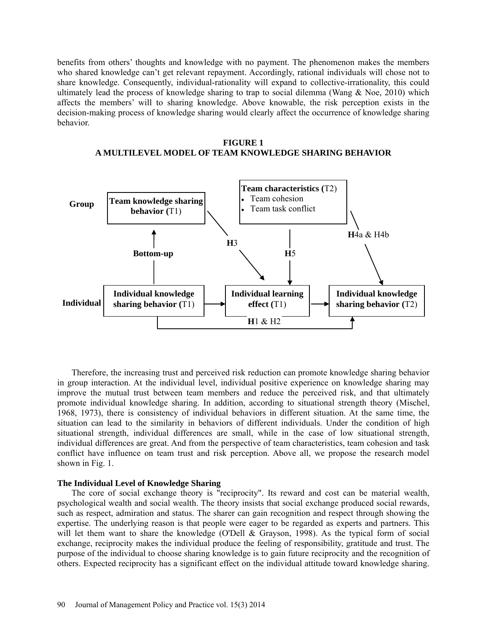benefits from others' thoughts and knowledge with no payment. The phenomenon makes the members who shared knowledge can't get relevant repayment. Accordingly, rational individuals will chose not to share knowledge. Consequently, individual-rationality will expand to collective-irrationality, this could ultimately lead the process of knowledge sharing to trap to social dilemma (Wang  $\&$  Noe, 2010) which affects the members' will to sharing knowledge. Above knowable, the risk perception exists in the decision-making process of knowledge sharing would clearly affect the occurrence of knowledge sharing behavior.





Therefore, the increasing trust and perceived risk reduction can promote knowledge sharing behavior in group interaction. At the individual level, individual positive experience on knowledge sharing may improve the mutual trust between team members and reduce the perceived risk, and that ultimately promote individual knowledge sharing. In addition, according to situational strength theory [\(Mischel,](#page-12-4)  [1968,](#page-12-4) [1973\)](#page-12-10), there is consistency of individual behaviors in different situation. At the same time, the situation can lead to the similarity in behaviors of different individuals. Under the condition of high situational strength, individual differences are small, while in the case of low situational strength, individual differences are great. And from the perspective of team characteristics, team cohesion and task conflict have influence on team trust and risk perception. Above all, we propose the research model shown in Fig. 1.

### **The Individual Level of Knowledge Sharing**

The core of social exchange theory is "reciprocity". Its reward and cost can be material wealth, psychological wealth and social wealth. The theory insists that social exchange produced social rewards, such as respect, admiration and status. The sharer can gain recognition and respect through showing the expertise. The underlying reason is that people were eager to be regarded as experts and partners. This will let them want to share the knowledge [\(O'Dell & Grayson, 1998\)](#page-13-10). As the typical form of social exchange, reciprocity makes the individual produce the feeling of responsibility, gratitude and trust. The purpose of the individual to choose sharing knowledge is to gain future reciprocity and the recognition of others. Expected reciprocity has a significant effect on the individual attitude toward knowledge sharing.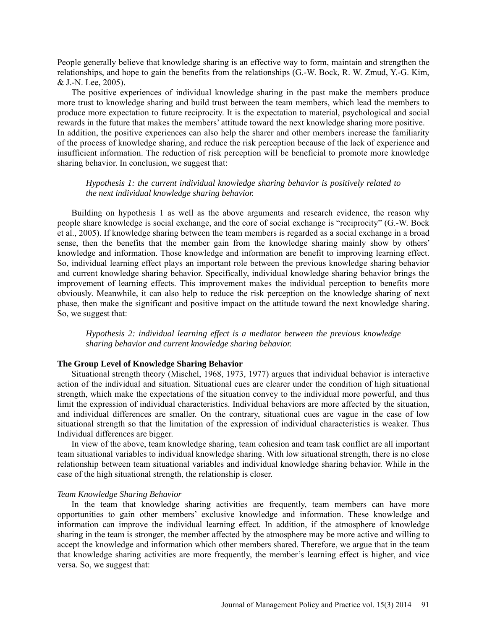People generally believe that knowledge sharing is an effective way to form, maintain and strengthen the relationships, and hope to gain the benefits from the relationships (G.-W. Bock, R. W. Zmud, Y.-G. Kim, & J.-N. Lee, 2005).

The positive experiences of individual knowledge sharing in the past make the members produce more trust to knowledge sharing and build trust between the team members, which lead the members to produce more expectation to future reciprocity. It is the expectation to material, psychological and social rewards in the future that makes the members' attitude toward the next knowledge sharing more positive. In addition, the positive experiences can also help the sharer and other members increase the familiarity of the process of knowledge sharing, and reduce the risk perception because of the lack of experience and insufficient information. The reduction of risk perception will be beneficial to promote more knowledge sharing behavior. In conclusion, we suggest that:

# *Hypothesis 1: the current individual knowledge sharing behavior is positively related to the next individual knowledge sharing behavior.*

Building on hypothesis 1 as well as the above arguments and research evidence, the reason why people share knowledge is social exchange, and the core of social exchange is "reciprocity" (G.-W. Bock et al., 2005). If knowledge sharing between the team members is regarded as a social exchange in a broad sense, then the benefits that the member gain from the knowledge sharing mainly show by others' knowledge and information. Those knowledge and information are benefit to improving learning effect. So, individual learning effect plays an important role between the previous knowledge sharing behavior and current knowledge sharing behavior. Specifically, individual knowledge sharing behavior brings the improvement of learning effects. This improvement makes the individual perception to benefits more obviously. Meanwhile, it can also help to reduce the risk perception on the knowledge sharing of next phase, then make the significant and positive impact on the attitude toward the next knowledge sharing. So, we suggest that:

*Hypothesis 2: individual learning effect is a mediator between the previous knowledge sharing behavior and current knowledge sharing behavior.* 

# **The Group Level of Knowledge Sharing Behavior**

Situational strength theory [\(Mischel, 1968,](#page-12-4) [1973,](#page-12-10) [1977\)](#page-13-7) argues that individual behavior is interactive action of the individual and situation. Situational cues are clearer under the condition of high situational strength, which make the expectations of the situation convey to the individual more powerful, and thus limit the expression of individual characteristics. Individual behaviors are more affected by the situation, and individual differences are smaller. On the contrary, situational cues are vague in the case of low situational strength so that the limitation of the expression of individual characteristics is weaker. Thus Individual differences are bigger.

In view of the above, team knowledge sharing, team cohesion and team task conflict are all important team situational variables to individual knowledge sharing. With low situational strength, there is no close relationship between team situational variables and individual knowledge sharing behavior. While in the case of the high situational strength, the relationship is closer.

#### *Team Knowledge Sharing Behavior*

In the team that knowledge sharing activities are frequently, team members can have more opportunities to gain other members' exclusive knowledge and information. These knowledge and information can improve the individual learning effect. In addition, if the atmosphere of knowledge sharing in the team is stronger, the member affected by the atmosphere may be more active and willing to accept the knowledge and information which other members shared. Therefore, we argue that in the team that knowledge sharing activities are more frequently, the member's learning effect is higher, and vice versa. So, we suggest that: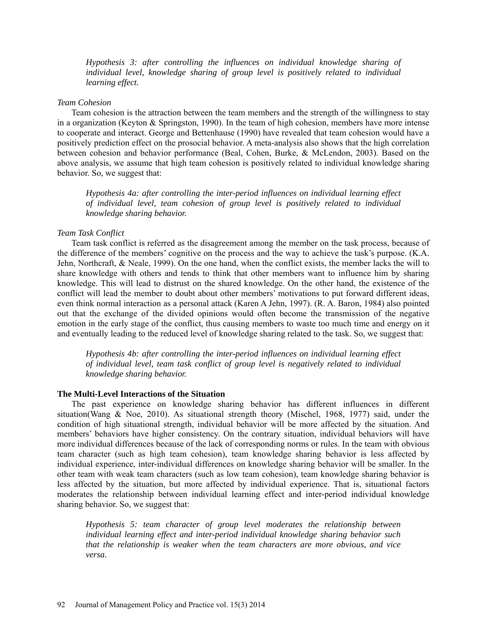*Hypothesis 3: after controlling the influences on individual knowledge sharing of individual level, knowledge sharing of group level is positively related to individual learning effect.*

#### *Team Cohesion*

Team cohesion is the attraction between the team members and the strength of the willingness to stay in a organization [\(Keyton & Springston, 1990\)](#page-12-11). In the team of high cohesion, members have more intense to cooperate and interact. George and Bettenhause (1990) have revealed that team cohesion would have a positively prediction effect on the prosocial behavior. A meta-analysis also shows that the high correlation between cohesion and behavior performance [\(Beal, Cohen, Burke, & McLendon, 2003\)](#page-12-12). Based on the above analysis, we assume that high team cohesion is positively related to individual knowledge sharing behavior. So, we suggest that:

*Hypothesis 4a: after controlling the inter-period influences on individual learning effect of individual level, team cohesion of group level is positively related to individual knowledge sharing behavior.*

#### *Team Task Conflict*

Team task conflict is referred as the disagreement among the member on the task process, because of the difference of the members' cognitive on the process and the way to achieve the task's purpose. [\(K.A.](#page-12-13)  [Jehn, Northcraft, & Neale, 1999\)](#page-12-13). On the one hand, when the conflict exists, the member lacks the will to share knowledge with others and tends to think that other members want to influence him by sharing knowledge. This will lead to distrust on the shared knowledge. On the other hand, the existence of the conflict will lead the member to doubt about other members' motivations to put forward different ideas, even think normal interaction as a personal attack [\(Karen A Jehn, 1997\)](#page-12-14). [\(R. A. Baron, 1984\)](#page-11-1) also pointed out that the exchange of the divided opinions would often become the transmission of the negative emotion in the early stage of the conflict, thus causing members to waste too much time and energy on it and eventually leading to the reduced level of knowledge sharing related to the task. So, we suggest that:

*Hypothesis 4b: after controlling the inter-period influences on individual learning effect of individual level, team task conflict of group level is negatively related to individual knowledge sharing behavior.*

#### **The Multi-Level Interactions of the Situation**

The past experience on knowledge sharing behavior has different influences in different situation[\(Wang & Noe, 2010\)](#page-13-2). As situational strength theory [\(Mischel, 1968,](#page-12-4) [1977\)](#page-13-7) said, under the condition of high situational strength, individual behavior will be more affected by the situation. And members' behaviors have higher consistency. On the contrary situation, individual behaviors will have more individual differences because of the lack of corresponding norms or rules. In the team with obvious team character (such as high team cohesion), team knowledge sharing behavior is less affected by individual experience, inter-individual differences on knowledge sharing behavior will be smaller. In the other team with weak team characters (such as low team cohesion), team knowledge sharing behavior is less affected by the situation, but more affected by individual experience. That is, situational factors moderates the relationship between individual learning effect and inter-period individual knowledge sharing behavior. So, we suggest that:

*Hypothesis 5: team character of group level moderates the relationship between individual learning effect and inter-period individual knowledge sharing behavior such that the relationship is weaker when the team characters are more obvious, and vice versa.*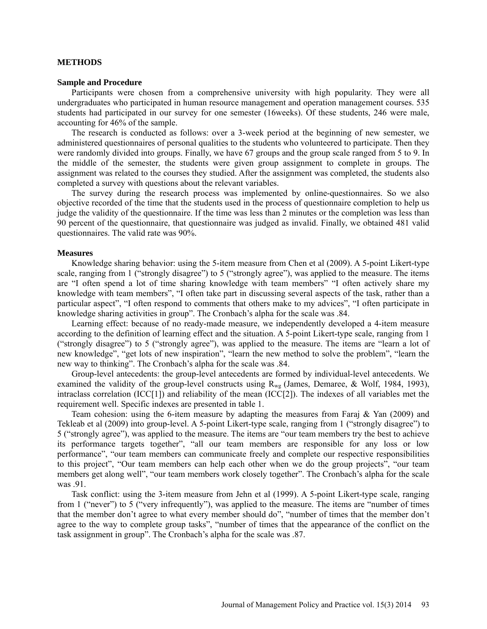### **METHODS**

#### **Sample and Procedure**

Participants were chosen from a comprehensive university with high popularity. They were all undergraduates who participated in human resource management and operation management courses. 535 students had participated in our survey for one semester (16weeks). Of these students, 246 were male, accounting for 46% of the sample.

The research is conducted as follows: over a 3-week period at the beginning of new semester, we administered questionnaires of personal qualities to the students who volunteered to participate. Then they were randomly divided into groups. Finally, we have 67 groups and the group scale ranged from 5 to 9. In the middle of the semester, the students were given group assignment to complete in groups. The assignment was related to the courses they studied. After the assignment was completed, the students also completed a survey with questions about the relevant variables.

The survey during the research process was implemented by online-questionnaires. So we also objective recorded of the time that the students used in the process of questionnaire completion to help us judge the validity of the questionnaire. If the time was less than 2 minutes or the completion was less than 90 percent of the questionnaire, that questionnaire was judged as invalid. Finally, we obtained 481 valid questionnaires. The valid rate was 90%.

#### **Measures**

Knowledge sharing behavior: using the 5-item measure from Chen et al (2009). A 5-point Likert-type scale, ranging from 1 ("strongly disagree") to 5 ("strongly agree"), was applied to the measure. The items are "I often spend a lot of time sharing knowledge with team members" "I often actively share my knowledge with team members", "I often take part in discussing several aspects of the task, rather than a particular aspect", "I often respond to comments that others make to my advices", "I often participate in knowledge sharing activities in group". The Cronbach's alpha for the scale was .84.

Learning effect: because of no ready-made measure, we independently developed a 4-item measure according to the definition of learning effect and the situation. A 5-point Likert-type scale, ranging from 1 ("strongly disagree") to 5 ("strongly agree"), was applied to the measure. The items are "learn a lot of new knowledge", "get lots of new inspiration", "learn the new method to solve the problem", "learn the new way to thinking". The Cronbach's alpha for the scale was .84.

Group-level antecedents: the group-level antecedents are formed by individual-level antecedents. We examined the validity of the group-level constructs using  $R_{wg}$  [\(James, Demaree, & Wolf, 1984,](#page-12-15) [1993\)](#page-12-16), intraclass correlation (ICC[1]) and reliability of the mean (ICC[2]). The indexes of all variables met the requirement well. Specific indexes are presented in table 1.

Team cohesion: using the 6-item measure by adapting the measures from Faraj & Yan (2009) and Tekleab et al (2009) into group-level. A 5-point Likert-type scale, ranging from 1 ("strongly disagree") to 5 ("strongly agree"), was applied to the measure. The items are "our team members try the best to achieve its performance targets together", "all our team members are responsible for any loss or low performance", "our team members can communicate freely and complete our respective responsibilities to this project", "Our team members can help each other when we do the group projects", "our team members get along well", "our team members work closely together". The Cronbach's alpha for the scale was .91.

Task conflict: using the 3-item measure from Jehn et al (1999). A 5-point Likert-type scale, ranging from 1 ("never") to 5 ("very infrequently"), was applied to the measure. The items are "number of times that the member don't agree to what every member should do", "number of times that the member don't agree to the way to complete group tasks", "number of times that the appearance of the conflict on the task assignment in group". The Cronbach's alpha for the scale was .87.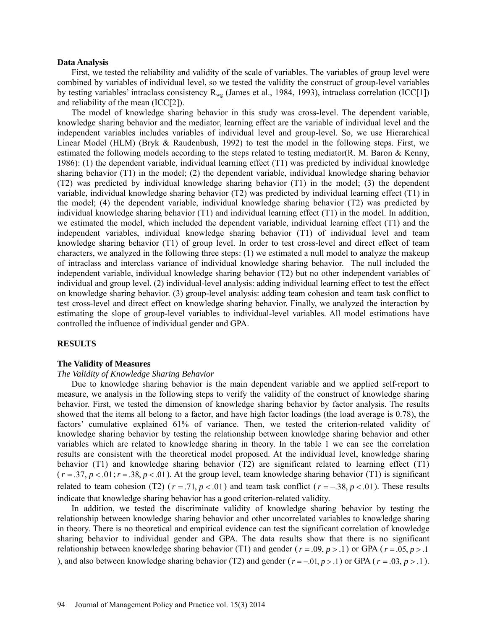#### **Data Analysis**

First, we tested the reliability and validity of the scale of variables. The variables of group level were combined by variables of individual level, so we tested the validity the construct of group-level variables by testing variables' intraclass consistency  $R_{wg}$  [\(James et al., 1984,](#page-12-15) [1993\)](#page-12-16), intraclass correlation (ICC[1]) and reliability of the mean (ICC[2]).

The model of knowledge sharing behavior in this study was cross-level. The dependent variable, knowledge sharing behavior and the mediator, learning effect are the variable of individual level and the independent variables includes variables of individual level and group-level. So, we use Hierarchical Linear Model (HLM) [\(Bryk & Raudenbush, 1992\)](#page-12-5) to test the model in the following steps. First, we estimated the following models according to the steps related to testing mediator[\(R. M. Baron & Kenny,](#page-11-2)  [1986\)](#page-11-2): (1) the dependent variable, individual learning effect (T1) was predicted by individual knowledge sharing behavior (T1) in the model; (2) the dependent variable, individual knowledge sharing behavior (T2) was predicted by individual knowledge sharing behavior (T1) in the model; (3) the dependent variable, individual knowledge sharing behavior (T2) was predicted by individual learning effect (T1) in the model; (4) the dependent variable, individual knowledge sharing behavior (T2) was predicted by individual knowledge sharing behavior (T1) and individual learning effect (T1) in the model. In addition, we estimated the model, which included the dependent variable, individual learning effect (T1) and the independent variables, individual knowledge sharing behavior (T1) of individual level and team knowledge sharing behavior (T1) of group level. In order to test cross-level and direct effect of team characters, we analyzed in the following three steps: (1) we estimated a null model to analyze the makeup of intraclass and interclass variance of individual knowledge sharing behavior. The null included the independent variable, individual knowledge sharing behavior (T2) but no other independent variables of individual and group level. (2) individual-level analysis: adding individual learning effect to test the effect on knowledge sharing behavior. (3) group-level analysis: adding team cohesion and team task conflict to test cross-level and direct effect on knowledge sharing behavior. Finally, we analyzed the interaction by estimating the slope of group-level variables to individual-level variables. All model estimations have controlled the influence of individual gender and GPA.

#### **RESULTS**

#### **The Validity of Measures**

#### *The Validity of Knowledge Sharing Behavior*

Due to knowledge sharing behavior is the main dependent variable and we applied self-report to measure, we analysis in the following steps to verify the validity of the construct of knowledge sharing behavior. First, we tested the dimension of knowledge sharing behavior by factor analysis. The results showed that the items all belong to a factor, and have high factor loadings (the load average is 0.78), the factors' cumulative explained 61% of variance. Then, we tested the criterion-related validity of knowledge sharing behavior by testing the relationship between knowledge sharing behavior and other variables which are related to knowledge sharing in theory. In the table 1 we can see the correlation results are consistent with the theoretical model proposed. At the individual level, knowledge sharing behavior (T1) and knowledge sharing behavior (T2) are significant related to learning effect (T1)  $(r = .37, p < .01; r = .38, p < .01)$ . At the group level, team knowledge sharing behavior (T1) is significant related to team cohesion (T2) ( $r = .71$ ,  $p < .01$ ) and team task conflict ( $r = -.38$ ,  $p < .01$ ). These results indicate that knowledge sharing behavior has a good criterion-related validity.

In addition, we tested the discriminate validity of knowledge sharing behavior by testing the relationship between knowledge sharing behavior and other uncorrelated variables to knowledge sharing in theory. There is no theoretical and empirical evidence can test the significant correlation of knowledge sharing behavior to individual gender and GPA. The data results show that there is no significant relationship between knowledge sharing behavior (T1) and gender ( $r = .09$ ,  $p > .1$ ) or GPA ( $r = .05$ ,  $p > .1$ ) ), and also between knowledge sharing behavior (T2) and gender ( $r = -0.01$ ,  $p > 0.1$ ) or GPA ( $r = 0.03$ ,  $p > 0.1$ ).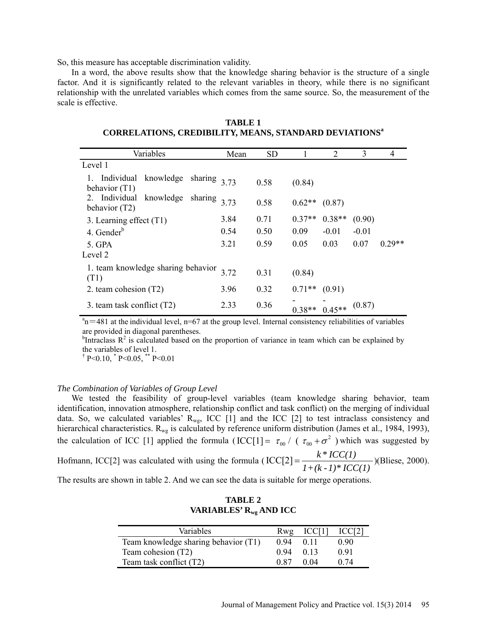So, this measure has acceptable discrimination validity.

In a word, the above results show that the knowledge sharing behavior is the structure of a single factor. And it is significantly related to the relevant variables in theory, while there is no significant relationship with the unrelated variables which comes from the same source. So, the measurement of the scale is effective.

| Variables                                  |           |         | Mean | <b>SD</b> |          | 2        | 3       | 4        |
|--------------------------------------------|-----------|---------|------|-----------|----------|----------|---------|----------|
| Level 1                                    |           |         |      |           |          |          |         |          |
| Individual knowledge<br>behavior $(T1)$    |           | sharing | 3.73 | 0.58      | (0.84)   |          |         |          |
| 2. Individual<br>behavior (T2)             | knowledge | sharing | 3.73 | 0.58      | $0.62**$ | (0.87)   |         |          |
| 3. Learning effect (T1)                    |           |         | 3.84 | 0.71      | $0.37**$ | $0.38**$ | (0.90)  |          |
| 4. Gender $b$                              |           |         | 0.54 | 0.50      | 0.09     | $-0.01$  | $-0.01$ |          |
| 5. GPA<br>Level 2                          |           |         | 3.21 | 0.59      | 0.05     | 0.03     | 0.07    | $0.29**$ |
| 1. team knowledge sharing behavior<br>(T1) |           | 3.72    | 0.31 | (0.84)    |          |          |         |          |
| 2. team cohesion (T2)                      |           | 3.96    | 0.32 | $0.71**$  | (0.91)   |          |         |          |
| 3. team task conflict (T2)                 |           | 2.33    | 0.36 | $0.38**$  | $0.45**$ | (0.87)   |         |          |

**TABLE 1 CORRELATIONS, CREDIBILITY, MEANS, STANDARD DEVIATIONS<sup>a</sup>**

 $a_n = 481$  at the individual level, n=67 at the group level. Internal consistency reliabilities of variables are provided in diagonal parentheses.

<sup>b</sup>Intraclass  $R^2$  is calculated based on the proportion of variance in team which can be explained by the variables of level 1.

 $\rm \ddot{P}$  P < 0.10,  $\rm \ddot{P}$  P < 0.05,  $\rm \ddot{P}$  P < 0.01

### *The Combination of Variables of Group Level*

We tested the feasibility of group-level variables (team knowledge sharing behavior, team identification, innovation atmosphere, relationship conflict and task conflict) on the merging of individual data. So, we calculated variables'  $R_{wg}$ , ICC [1] and the ICC [2] to test intraclass consistency and hierarchical characteristics.  $R_{wg}$  is calculated by reference uniform distribution [\(James et al., 1984,](#page-12-15) [1993\)](#page-12-16), the calculation of ICC [1] applied the formula (ICC[1] =  $\tau_{00}$  / ( $\tau_{00} + \sigma^2$ ) which was suggested by Hofmann, ICC[2] was calculated with using the formula (  $\text{ICC}[2] = \frac{k \cdot \text{ICC}(1)}{1 + (k \cdot 1) \cdot \text{ICC}(1)}$ )[\(Bliese, 2000\)](#page-12-17). The results are shown in table 2. And we can see the data is suitable for merge operations.

| <b>TABLE 2</b>              |
|-----------------------------|
| VARIABLES' $R_{wg}$ AND ICC |

| Variables                            | Rwg   | ICCI 1 |      |
|--------------------------------------|-------|--------|------|
| Team knowledge sharing behavior (T1) | (194) | 011    | 0.90 |
| Team cohesion (T2)                   | 0.94  | 0.13   | 0.91 |
| Team task conflict (T2)              | 0.87  | 0.04   | 0.74 |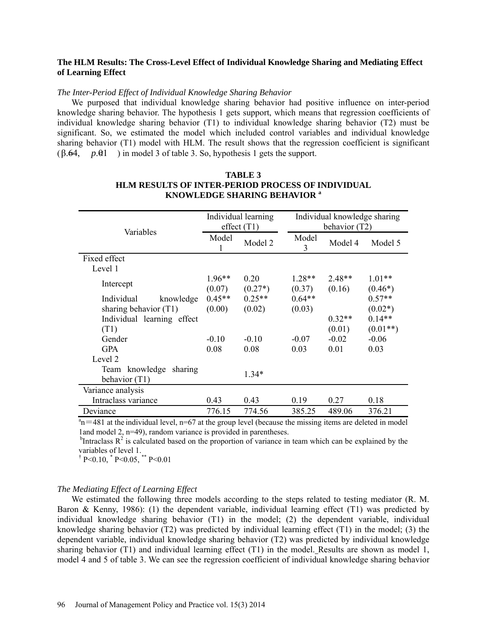## **The HLM Results: The Cross-Level Effect of Individual Knowledge Sharing and Mediating Effect of Learning Effect**

### *The Inter-Period Effect of Individual Knowledge Sharing Behavior*

We purposed that individual knowledge sharing behavior had positive influence on inter-period knowledge sharing behavior. The hypothesis 1 gets support, which means that regression coefficients of individual knowledge sharing behavior (T1) to individual knowledge sharing behavior (T2) must be significant. So, we estimated the model which included control variables and individual knowledge sharing behavior (T1) model with HLM. The result shows that the regression coefficient is significant  $(\beta.64, p.\&1)$  in model 3 of table 3. So, hypothesis 1 gets the support.

| Variables                                    | Individual learning<br>effect $(T1)$ |                   | Individual knowledge sharing<br>behavior (T2) |                    |                       |  |
|----------------------------------------------|--------------------------------------|-------------------|-----------------------------------------------|--------------------|-----------------------|--|
|                                              | Model<br>1                           | Model 2           | Model<br>3                                    | Model 4            | Model 5               |  |
| Fixed effect                                 |                                      |                   |                                               |                    |                       |  |
| Level 1                                      |                                      |                   |                                               |                    |                       |  |
| Intercept                                    | $1.96**$<br>(0.07)                   | 0.20<br>$(0.27*)$ | $1.28**$<br>(0.37)                            | $2.48**$<br>(0.16) | $1.01**$<br>$(0.46*)$ |  |
| Individual<br>knowledge                      | $0.45**$                             | $0.25**$          | $0.64**$                                      |                    | $0.57**$              |  |
| sharing behavior $(T1)$                      | (0.00)                               | (0.02)            | (0.03)                                        |                    | $(0.02*)$             |  |
| Individual learning effect                   |                                      |                   |                                               | $0.32**$           | $0.14**$              |  |
| (T1)                                         |                                      |                   |                                               | (0.01)             | $(0.01**)$            |  |
| Gender                                       | $-0.10$                              | $-0.10$           | $-0.07$                                       | $-0.02$            | $-0.06$               |  |
| <b>GPA</b>                                   | 0.08                                 | 0.08              | 0.03                                          | 0.01               | 0.03                  |  |
| Level 2                                      |                                      |                   |                                               |                    |                       |  |
| Team knowledge<br>sharing<br>behavior $(T1)$ |                                      | $1.34*$           |                                               |                    |                       |  |
| Variance analysis                            |                                      |                   |                                               |                    |                       |  |
| Intraclass variance                          | 0.43                                 | 0.43              | 0.19                                          | 0.27               | 0.18                  |  |
| Deviance                                     | 776.15                               | 774.56            | 385.25                                        | 489.06             | 376.21                |  |

# **TABLE 3 HLM RESULTS OF INTER-PERIOD PROCESS OF INDIVIDUAL KNOWLEDGE SHARING BEHAVIOR <sup>a</sup>**

 $a_n$  = 481 at the individual level, n=67 at the group level (because the missing items are deleted in model 1and model 2, n=49), random variance is provided in parentheses.

 $<sup>b</sup>$ Intraclass R<sup>2</sup> is calculated based on the proportion of variance in team which can be explained by the</sup> variables of level 1.

 $\uparrow$  P<0.10,  $\uparrow$  P<0.05,  $\uparrow$  P <0.01

### *The Mediating Effect of Learning Effect*

We estimated the following three models according to the steps related to testing mediator [\(R. M.](#page-11-2)  [Baron & Kenny, 1986\)](#page-11-2): (1) the dependent variable, individual learning effect (T1) was predicted by individual knowledge sharing behavior (T1) in the model; (2) the dependent variable, individual knowledge sharing behavior (T2) was predicted by individual learning effect (T1) in the model; (3) the dependent variable, individual knowledge sharing behavior (T2) was predicted by individual knowledge sharing behavior (T1) and individual learning effect (T1) in the model. Results are shown as model 1, model 4 and 5 of table 3. We can see the regression coefficient of individual knowledge sharing behavior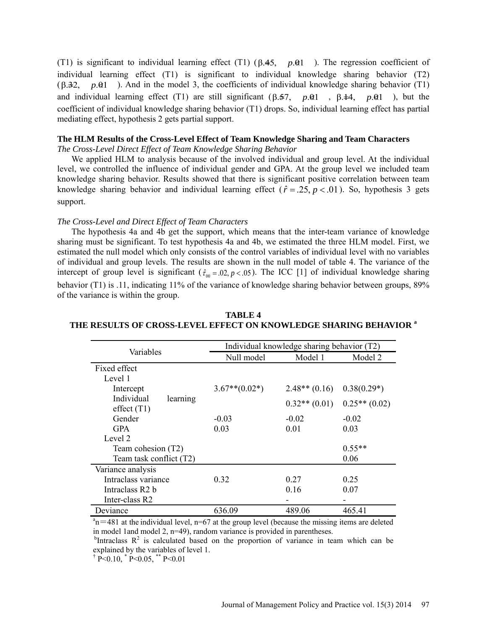(T1) is significant to individual learning effect (T1)  $(\beta.45, p.01)$ . The regression coefficient of individual learning effect (T1) is significant to individual knowledge sharing behavior (T2) ( $\beta$ .32,  $p \cdot \theta$ 1). And in the model 3, the coefficients of individual knowledge sharing behavior (T1) and individual learning effect (T1) are still significant  $(\beta.57, p.01, \beta.44, p.01)$ , but the coefficient of individual knowledge sharing behavior (T1) drops. So, individual learning effect has partial mediating effect, hypothesis 2 gets partial support.

### **The HLM Results of the Cross-Level Effect of Team Knowledge Sharing and Team Characters**

*The Cross-Level Direct Effect of Team Knowledge Sharing Behavior*

We applied HLM to analysis because of the involved individual and group level. At the individual level, we controlled the influence of individual gender and GPA. At the group level we included team knowledge sharing behavior. Results showed that there is significant positive correlation between team knowledge sharing behavior and individual learning effect ( $\hat{r} = 25$ ,  $p < 0.01$ ). So, hypothesis 3 gets support.

# *The Cross-Level and Direct Effect of Team Characters*

The hypothesis 4a and 4b get the support, which means that the inter-team variance of knowledge sharing must be significant. To test hypothesis 4a and 4b, we estimated the three HLM model. First, we estimated the null model which only consists of the control variables of individual level with no variables of individual and group levels. The results are shown in the null model of table 4. The variance of the intercept of group level is significant ( $\hat{\tau}_{00} = 0.02$ ,  $p < 0.05$ ). The ICC [1] of individual knowledge sharing behavior (T1) is .11, indicating 11% of the variance of knowledge sharing behavior between groups, 89% of the variance is within the group.

| Variables                               | Individual knowledge sharing behavior (T2) |                 |                 |  |  |  |
|-----------------------------------------|--------------------------------------------|-----------------|-----------------|--|--|--|
|                                         | Null model                                 | Model 1         | Model 2         |  |  |  |
| Fixed effect                            |                                            |                 |                 |  |  |  |
| Level 1                                 |                                            |                 |                 |  |  |  |
| Intercept                               | $3.67**$ (0.02*)                           | $2.48**$ (0.16) | $0.38(0.29*)$   |  |  |  |
| Individual<br>learning<br>effect $(T1)$ |                                            | $0.32**$ (0.01) | $0.25**$ (0.02) |  |  |  |
| Gender                                  | $-0.03$                                    | $-0.02$         | $-0.02$         |  |  |  |
| <b>GPA</b>                              | 0.03                                       | 0.01            | 0.03            |  |  |  |
| Level 2                                 |                                            |                 |                 |  |  |  |
| Team cohesion (T2)                      |                                            |                 | $0.55**$        |  |  |  |
| Team task conflict (T2)                 |                                            |                 | 0.06            |  |  |  |
| Variance analysis                       |                                            |                 |                 |  |  |  |
| Intraclass variance                     | 0.32                                       | 0.27            | 0.25            |  |  |  |
| Intraclass R2 b                         |                                            | 0.16            | 0.07            |  |  |  |
| Inter-class R2                          |                                            |                 |                 |  |  |  |
| Deviance                                | 636.09                                     | 489.06          | 465.41          |  |  |  |

# **TABLE 4 THE RESULTS OF CROSS-LEVEL EFFECT ON KNOWLEDGE SHARING BEHAVIOR <sup>a</sup>**

 $a_n$  = 481 at the individual level, n=67 at the group level (because the missing items are deleted in model 1and model 2, n=49), random variance is provided in parentheses.

 $b$ Intraclass  $R^2$  is calculated based on the proportion of variance in team which can be explained by the variables of level 1.

 $\rm \ddot{P}$  P<0.10,  $\rm \ddot{P}$  P<0.05,  $\rm \ddot{P}$  P<0.01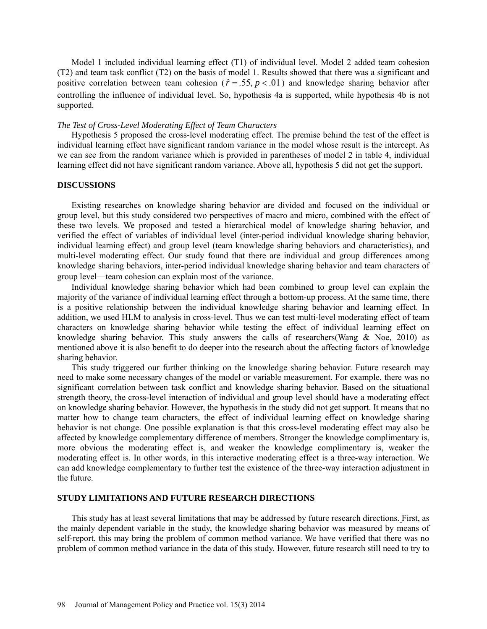Model 1 included individual learning effect (T1) of individual level. Model 2 added team cohesion (T2) and team task conflict (T2) on the basis of model 1. Results showed that there was a significant and positive correlation between team cohesion ( $\hat{r} = .55$ ,  $p < .01$ ) and knowledge sharing behavior after controlling the influence of individual level. So, hypothesis 4a is supported, while hypothesis 4b is not supported.

#### *The Test of Cross-Level Moderating Effect of Team Characters*

Hypothesis 5 proposed the cross-level moderating effect. The premise behind the test of the effect is individual learning effect have significant random variance in the model whose result is the intercept. As we can see from the random variance which is provided in parentheses of model 2 in table 4, individual learning effect did not have significant random variance. Above all, hypothesis 5 did not get the support.

### **DISCUSSIONS**

Existing researches on knowledge sharing behavior are divided and focused on the individual or group level, but this study considered two perspectives of macro and micro, combined with the effect of these two levels. We proposed and tested a hierarchical model of knowledge sharing behavior, and verified the effect of variables of individual level (inter-period individual knowledge sharing behavior, individual learning effect) and group level (team knowledge sharing behaviors and characteristics), and multi-level moderating effect. Our study found that there are individual and group differences among knowledge sharing behaviors, inter-period individual knowledge sharing behavior and team characters of group level—team cohesion can explain most of the variance.

Individual knowledge sharing behavior which had been combined to group level can explain the majority of the variance of individual learning effect through a bottom-up process. At the same time, there is a positive relationship between the individual knowledge sharing behavior and learning effect. In addition, we used HLM to analysis in cross-level. Thus we can test multi-level moderating effect of team characters on knowledge sharing behavior while testing the effect of individual learning effect on knowledge sharing behavior. This study answers the calls of researchers[\(Wang & Noe, 2010\)](#page-13-2) as mentioned above it is also benefit to do deeper into the research about the affecting factors of knowledge sharing behavior.

This study triggered our further thinking on the knowledge sharing behavior. Future research may need to make some necessary changes of the model or variable measurement. For example, there was no significant correlation between task conflict and knowledge sharing behavior. Based on the situational strength theory, the cross-level interaction of individual and group level should have a moderating effect on knowledge sharing behavior. However, the hypothesis in the study did not get support. It means that no matter how to change team characters, the effect of individual learning effect on knowledge sharing behavior is not change. One possible explanation is that this cross-level moderating effect may also be affected by knowledge complementary difference of members. Stronger the knowledge complimentary is, more obvious the moderating effect is, and weaker the knowledge complimentary is, weaker the moderating effect is. In other words, in this interactive moderating effect is a three-way interaction. We can add knowledge complementary to further test the existence of the three-way interaction adjustment in the future.

# **STUDY LIMITATIONS AND FUTURE RESEARCH DIRECTIONS**

This study has at least several limitations that may be addressed by future research directions. First, as the mainly dependent variable in the study, the knowledge sharing behavior was measured by means of self-report, this may bring the problem of common method variance. We have verified that there was no problem of common method variance in the data of this study. However, future research still need to try to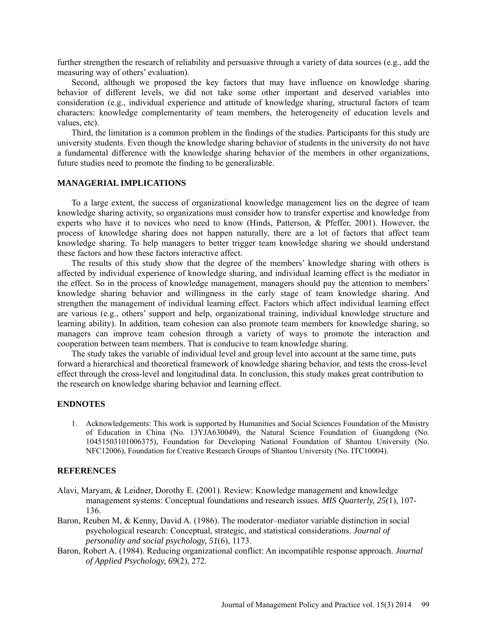further strengthen the research of reliability and persuasive through a variety of data sources (e.g., add the measuring way of others' evaluation).

Second, although we proposed the key factors that may have influence on knowledge sharing behavior of different levels, we did not take some other important and deserved variables into consideration (e.g., individual experience and attitude of knowledge sharing, structural factors of team characters: knowledge complementarity of team members, the heterogeneity of education levels and values, etc).

Third, the limitation is a common problem in the findings of the studies. Participants for this study are university students. Even though the knowledge sharing behavior of students in the university do not have a fundamental difference with the knowledge sharing behavior of the members in other organizations, future studies need to promote the finding to be generalizable.

# **MANAGERIAL IMPLICATIONS**

To a large extent, the success of organizational knowledge management lies on the degree of team knowledge sharing activity, so organizations must consider how to transfer expertise and knowledge from experts who have it to novices who need to know [\(Hinds, Patterson, & Pfeffer, 2001\)](#page-12-18). However, the process of knowledge sharing does not happen naturally, there are a lot of factors that affect team knowledge sharing. To help managers to better trigger team knowledge sharing we should understand these factors and how these factors interactive affect.

The results of this study show that the degree of the members' knowledge sharing with others is affected by individual experience of knowledge sharing, and individual learning effect is the mediator in the effect. So in the process of knowledge management, managers should pay the attention to members' knowledge sharing behavior and willingness in the early stage of team knowledge sharing. And strengthen the management of individual learning effect. Factors which affect individual learning effect are various (e.g., others' support and help, organizational training, individual knowledge structure and learning ability). In addition, team cohesion can also promote team members for knowledge sharing, so managers can improve team cohesion through a variety of ways to promote the interaction and cooperation between team members. That is conducive to team knowledge sharing.

The study takes the variable of individual level and group level into account at the same time, puts forward a hierarchical and theoretical framework of knowledge sharing behavior, and tests the cross-level effect through the cross-level and longitudinal data. In conclusion, this study makes great contribution to the research on knowledge sharing behavior and learning effect.

### **ENDNOTES**

1. Acknowledgements: This work is supported by Humanities and Social Sciences Foundation of the Ministry of Education in China (No. 13YJA630049), the Natural Science Foundation of Guangdong (No. 10451503101006375), Foundation for Developing National Foundation of Shantou University (No. NFC12006), Foundation for Creative Research Groups of Shantou University (No. ITC10004).

#### **REFERENCES**

- <span id="page-11-0"></span>Alavi, Maryam, & Leidner, Dorothy E. (2001). Review: Knowledge management and knowledge management systems: Conceptual foundations and research issues. *MIS Quarterly, 25*(1), 107- 136.
- <span id="page-11-2"></span>Baron, Reuben M, & Kenny, David A. (1986). The moderator–mediator variable distinction in social psychological research: Conceptual, strategic, and statistical considerations. *Journal of personality and social psychology, 51*(6), 1173.
- <span id="page-11-1"></span>Baron, Robert A. (1984). Reducing organizational conflict: An incompatible response approach. *Journal of Applied Psychology, 69*(2), 272.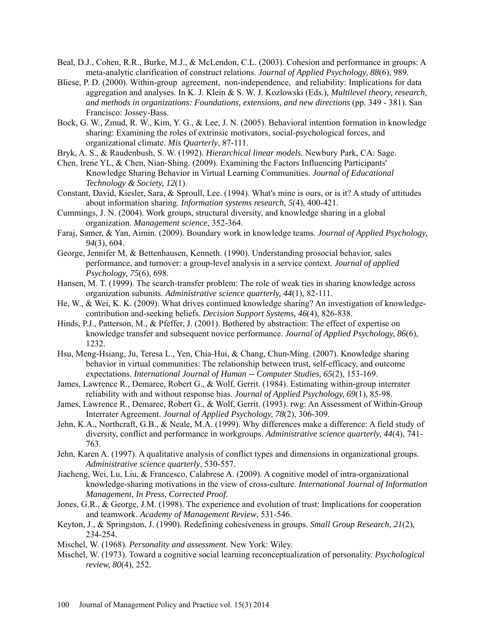- <span id="page-12-12"></span>Beal, D.J., Cohen, R.R., Burke, M.J., & McLendon, C.L. (2003). Cohesion and performance in groups: A meta-analytic clarification of construct relations. *Journal of Applied Psychology, 88*(6), 989.
- <span id="page-12-17"></span>Bliese, P. D. (2000). Within-group agreement, non-independence, and reliability: Implications for data aggregation and analyses. In K. J. Klein & S. W. J. Kozlowski (Eds.), *Multilevel theory, research, and methods in organizations: Foundations, extensions, and new directions* (pp. 349 - 381). San Francisco: Jossey-Bass.
- <span id="page-12-2"></span>Bock, G. W., Zmud, R. W., Kim, Y. G., & Lee, J. N. (2005). Behavioral intention formation in knowledge sharing: Examining the roles of extrinsic motivators, social-psychological forces, and organizational climate. *Mis Quarterly*, 87-111.
- <span id="page-12-5"></span>Bryk, A. S., & Raudenbush, S. W. (1992). *Hierarchical linear models*. Newbury Park, CA: Sage.
- <span id="page-12-9"></span>Chen, Irene YL, & Chen, Nian-Shing. (2009). Examining the Factors Influencing Participants' Knowledge Sharing Behavior in Virtual Learning Communities. *Journal of Educational Technology & Society, 12*(1).
- Constant, David, Kiesler, Sara, & Sproull, Lee. (1994). What's mine is ours, or is it? A study of attitudes about information sharing. *Information systems research, 5*(4), 400-421.
- <span id="page-12-6"></span>Cummings, J. N. (2004). Work groups, structural diversity, and knowledge sharing in a global organization. *Management science*, 352-364.
- <span id="page-12-7"></span>Faraj, Samer, & Yan, Aimin. (2009). Boundary work in knowledge teams. *Journal of Applied Psychology, 94*(3), 604.
- George, Jennifer M, & Bettenhausen, Kenneth. (1990). Understanding prosocial behavior, sales performance, and turnover: a group-level analysis in a service context. *Journal of applied Psychology, 75*(6), 698.
- Hansen, M. T. (1999). The search-transfer problem: The role of weak ties in sharing knowledge across organization subunits. *Administrative science quarterly, 44*(1), 82-111.
- <span id="page-12-0"></span>He, W., & Wei, K. K. (2009). What drives continued knowledge sharing? An investigation of knowledgecontribution and-seeking beliefs. *Decision Support Systems, 46*(4), 826-838.
- <span id="page-12-18"></span>Hinds, P.J., Patterson, M., & Pfeffer, J. (2001). Bothered by abstraction: The effect of expertise on knowledge transfer and subsequent novice performance. *Journal of Applied Psychology, 86*(6), 1232.
- <span id="page-12-1"></span>Hsu, Meng-Hsiang, Ju, Teresa L., Yen, Chia-Hui, & Chang, Chun-Ming. (2007). Knowledge sharing behavior in virtual communities: The relationship between trust, self-efficacy, and outcome expectations. *International Journal of Human -- Computer Studies, 65*(2), 153-169.
- <span id="page-12-15"></span>James, Lawrence R., Demaree, Robert G., & Wolf, Gerrit. (1984). Estimating within-group interrater reliability with and without response bias. *Journal of Applied Psychology, 69*(1), 85-98.
- <span id="page-12-16"></span>James, Lawrence R., Demaree, Robert G., & Wolf, Gerrit. (1993). rwg: An Assessment of Within-Group Interrater Agreement. *Journal of Applied Psychology, 78*(2), 306-309.
- <span id="page-12-13"></span>Jehn, K.A., Northcraft, G.B., & Neale, M.A. (1999). Why differences make a difference: A field study of diversity, conflict and performance in workgroups. *Administrative science quarterly, 44*(4), 741- 763.
- <span id="page-12-14"></span>Jehn, Karen A. (1997). A qualitative analysis of conflict types and dimensions in organizational groups. *Administrative science quarterly*, 530-557.
- <span id="page-12-3"></span>Jiacheng, Wei, Lu, Liu, & Francesco, Calabrese A. (2009). A cognitive model of intra-organizational knowledge-sharing motivations in the view of cross-culture. *International Journal of Information Management, In Press, Corrected Proof*.
- <span id="page-12-8"></span>Jones, G.R., & George, J.M. (1998). The experience and evolution of trust: Implications for cooperation and teamwork. *Academy of Management Review*, 531-546.
- <span id="page-12-11"></span>Keyton, J., & Springston, J. (1990). Redefining cohesiveness in groups. *Small Group Research, 21*(2), 234-254.
- <span id="page-12-4"></span>Mischel, W. (1968). *Personality and assessment*. New York: Wiley.
- <span id="page-12-10"></span>Mischel, W. (1973). Toward a cognitive social learning reconceptualization of personality. *Psychological review, 80*(4), 252.